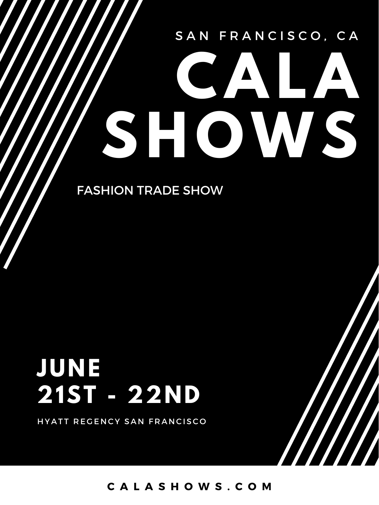### SAN FRANCISCO, CA

# **CALA SHOWS**

FASHION TRADE SHOW

## **JUNE 21ST - 22ND**

HYATT REGENCY SAN FRANCISCO

**C A L A S H O W S . C O M**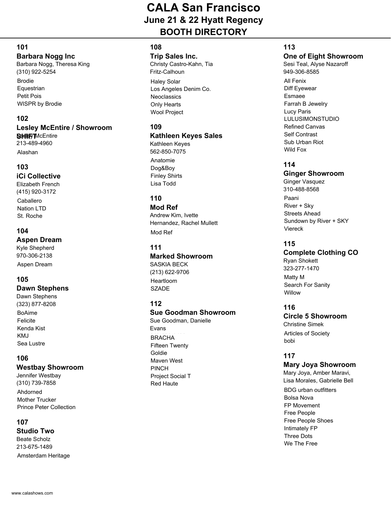#### **101**

#### **Barbara Nogg Inc**

Brodie **Equestrian** Petit Pois WISPR by Brodie Barbara Nogg, Theresa King (310) 922-5254

#### **102**

#### **Lesley McEntire / Showroom SHIFT**McEntire Alashan 213-489-4960

**103 iCi Collective** Elizabeth French (415) 920-3172

Caballero Nation LTD St. Roche

#### **104**

**Aspen Dream**

Aspen Dream Kyle Shepherd 970-306-2138

#### **105**

#### **Dawn Stephens**

BoAime Felicite Kenda Kist KMJ Sea Lustre Dawn Stephens (323) 877-8208

#### **106**

#### **Westbay Showroom**

Ahdorned Mother Trucker Prince Peter Collection Jennifer Westbay (310) 739-7858

#### **107**

**Studio Two**

Amsterdam Heritage Beate Scholz 213-675-1489

#### **108**

#### **Trip Sales Inc.**

Christy Castro-Kahn, Tia Fritz-Calhoun

Haley Solar Los Angeles Denim Co. **Neoclassics** Only Hearts Wool Project

#### **109**

#### **Kathleen Keyes Sales** Kathleen Keyes 562-850-7075

Anatomie Dog&Boy Finley Shirts Lisa Todd

#### **110**

**Mod Ref** Mod Ref Andrew Kim, Ivette Hernandez, Rachel Mullett

#### **111**

#### **Marked Showroom** SASKIA BECK

Heartloom **SZADE** (213) 622-9706

#### **112**

#### **Sue Goodman Showroom**

**BRACHA** Fifteen Twenty Goldie Maven West PINCH Project Social T Red Haute Sue Goodman, Danielle Evans

#### **113**

#### **One of Eight Showroom**

All Fenix Diff Eyewear Esmaee Farrah B Jewelry Lucy Paris LULUSIMONSTUDIO Refined Canvas Self Contrast Sub Urban Riot Wild Fox Sesi Teal, Alyse Nazaroff 949-306-8585

#### **114**

#### **Ginger Showroom**

Paani River + Sky Streets Ahead Sundown by River + SKY Viereck Ginger Vasquez 310-488-8568

#### **115**

#### **Complete Clothing CO**

Matty M Search For Sanity Willow Ryan Shokett 323-277-1470

#### **116**

**Circle 5 Showroom** Articles of Society Christine Simek

#### **117**

bobi

#### **Mary Joya Showroom**

Mary Joya, Amber Maravi, Lisa Morales, Gabrielle Bell

**BDG** urban outfitters Bolsa Nova FP Movement Free People Free People Shoes Intimately FP Three Dots We The Free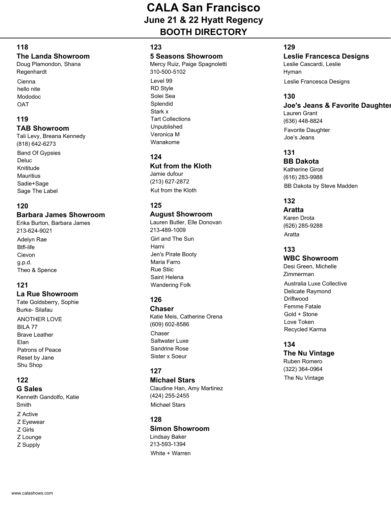#### **118**

#### **The Landa Showroom**

Doug Plamondon, Shana Regenhardt

Cienna hello nite Mododoc OAT

#### **119**

#### **TAB Showroom**

Band Of Gypsies Deluc Knititude **Mauritius** Sadie+Sage Sage The Label Tali Levy, Breana Kennedy (818) 642-6273

#### **120**

#### **Barbara James Showroom**

Adelyn Rae Btfl-life Cievon g.p.d. Theo & Spence Erika Burton, Barbara James 213-624-9021

#### **121**

#### **La Rue Showroom**

**ANOTHER LOVE** BILA 77 Brave Leather Tate Goldsberry, Sophie Burke- Silafau

Elan Patrons of Peace Reset by Jane Shu Shop

#### **122**

**G Sales** Z Active Z Eyewear Z Girls Kenneth Gandolfo, Katie Smith

- Z Lounge
- Z Supply

#### **123**

#### **5 Seasons Showroom**

Level 99 RD Style Solei Sea Splendid Stark x Tart Collections Unpublished Veronica M Wanakome Mercy Ruiz, Paige Spagnoletti 310-500-5102

#### **124**

#### **Kut from the Kloth**

Kut from the Kloth Jamie dufour (213) 627-2872

#### **125**

#### **August Showroom**

Girl and The Sun Harni Jen's Pirate Booty Maria Farro Rue Stiic Saint Helena Wandering Folk Lauren Butler, Elle Donovan 213-489-1009

#### **126**

**Chaser** Chaser Saltwater Luxe Sandrine Rose Sister x Soeur Katie Meis, Catherine Orena (609) 602-8586

#### **127**

**Michael Stars** Michael Stars Claudine Han, Amy Martinez (424) 255-2455

#### **128 Simon Showroom** White + Warren Lindsay Baker 213-593-1394

#### **129**

#### **Leslie Francesca Designs** Leslie Cascardi, Leslie Hyman

Leslie Francesca Designs

#### **130**

#### **Joe's Jeans & Favorite Daughter**

Favorite Daughter Joe's Jeans Lauren Grant (636) 448-8824

#### **131**

#### **BB Dakota**

BB Dakota by Steve Madden Katherine Girod (616) 283-9988

#### **132**

**Aratta** Aratta Karen Drota (626) 285-9288

#### **133**

#### **WBC Showroom**

Australia Luxe Collective Delicate Raymond Driftwood Femme Fatale Gold + Stone Love Token Recycled Karma Desi Green, Michelle Zimmerman

#### **134**

#### **The Nu Vintage** Ruben Romero

The Nu Vintage (322) 364-0964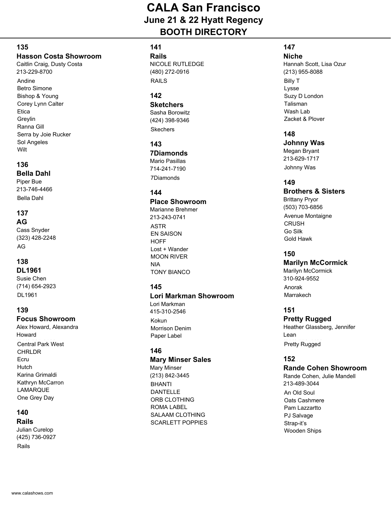#### **135**

#### **Hasson Costa Showroom**

Andine Betro Simone Bishop & Young Corey Lynn Calter **Etica** Greylin Ranna Gill Serra by Joie Rucker Sol Angeles Wilt Caitlin Craig, Dusty Costa 213-229-8700

#### **136**

#### **Bella Dahl**

Bella Dahl Piper Bue 213-746-4466

#### **137**

#### **AG**

AG Cass Snyder (323) 428-2248

#### **138**

#### **DL1961**

DL1961 Susie Chen (714) 654-2923

#### **139**

#### **Focus Showroom**

Central Park West **CHRLDR** Ecru **Hutch** Karina Grimaldi Kathryn McCarron LAMARQUE One Grey Day Alex Howard, Alexandra Howard

#### **140**

#### **Rails**

Rails Julian Curelop (425) 736-0927

#### **141**

**Rails** RAILS NICOLE RUTLEDGE (480) 272-0916

#### **142**

#### **Sketchers Skechers** Sasha Borowitz (424) 398-9346

**143**

**7Diamonds** 7Diamonds Mario Pasillas 714-241-7190

#### **144**

#### **Place Showroom**

ASTR EN SAISON **HOFF** Lost + Wander MOON RIVER NIA TONY BIANCO Marianne Brehmer 213-243-0741

#### **145**

#### **Lori Markman Showroom** Kokun Morrison Denim Paper Label Lori Markman 415-310-2546

#### **146**

#### **Mary Minser Sales**

BHANTI DANTELLE ORB CLOTHING ROMA LABEL SALAAM CLOTHING SCARLETT POPPIES Mary Minser (213) 842-3445

#### **147**

**Niche** Billy T Lysse Suzy D London Talisman Wash Lab Zacket & Plover Hannah Scott, Lisa Ozur (213) 955-8088

#### **148**

#### **Johnny Was**

Johnny Was Megan Bryant 213-629-1717

#### **149**

#### **Brothers & Sisters**

Avenue Montaigne **CRUSH** Go Silk Gold Hawk Brittany Pryor (503) 703-6856

#### **150**

#### **Marilyn McCormick**

Anorak Marrakech Marilyn McCormick 310-924-9552

#### **151**

#### **Pretty Rugged** Heather Glassberg, Jennifer

Pretty Rugged Lean

#### **152**

#### **Rande Cohen Showroom**

An Old Soul Oats Cashmere Pam Lazzartto PJ Salvage Strap-it's Wooden Ships Rande Cohen, Julie Mandell 213-489-3044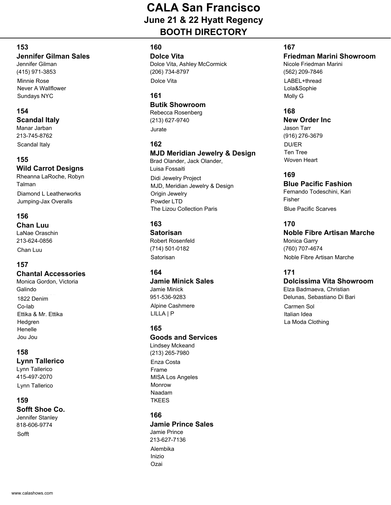#### **153**

#### **Jennifer Gilman Sales**

Minnie Rose Never A Wallflower Sundays NYC Jennifer Gilman (415) 971-3853

#### **154**

**Scandal Italy**

Scandal Italy Manar Jarban 213-745-8762

**155 Wild Carrot Designs**

Diamond L Leatherworks Jumping-Jax Overalls Rheanna LaRoche, Robyn Talman

#### **156**

**Chan Luu**

Chan Luu LaNae Oraschin 213-624-0856

#### **157**

#### **Chantal Accessories**

1822 Denim Co-lab Ettika & Mr. Ettika Hedgren Henelle Jou Jou Monica Gordon, Victoria Galindo

#### **158**

**Lynn Tallerico**

Lynn Tallerico Lynn Tallerico 415-497-2070

#### **159**

**Sofft Shoe Co.** Sofft Jennifer Stanley 818-606-9774

#### **160**

**Dolce Vita** Dolce Vita Dolce Vita, Ashley McCormick (206) 734-8797

#### **161**

**Butik Showroom**

Jurate Rebecca Rosenberg (213) 627-9740

#### **162**

#### **MJD Meridian Jewelry & Design**

Didi Jewelry Project MJD, Meridian Jewelry & Design Origin Jewelry Powder LTD The Lizou Collection Paris Brad Olander, Jack Olander, Luisa Fossaiti

#### **163**

**Satorisan** Satorisan Robert Rosenfeld (714) 501-0182

#### **164**

**Jamie Minick Sales** Alpine Cashmere LILLA | P Jamie Minick 951-536-9283

#### **165**

#### **Goods and Services**

Enza Costa Frame MISA Los Angeles Monrow Naadam **TKEES** Lindsey Mckeand (213) 265-7980

#### **166**

**Jamie Prince Sales** Alembika Inizio Ozai Jamie Prince 213-627-7136

#### **167**

**Friedman Marini Showroom** Nicole Friedman Marini

LABEL+thread Lola&Sophie Molly G (562) 209-7846

#### **168**

#### **New Order Inc**

DU/ER Ten Tree Woven Heart Jason Tarr (916) 276-3679

#### **169**

#### **Blue Pacific Fashion**

**Blue Pacific Scarves** Fernando Todeschini, Kari Fisher

#### **170**

#### **Noble Fibre Artisan Marche** Noble Fibre Artisan Marche Monica Garry (760) 707-4674

#### **171**

#### **Dolcissima Vita Showroom**

Elza Badmaeva, Christian Delunas, Sebastiano Di Bari

Carmen Sol Italian Idea La Moda Clothing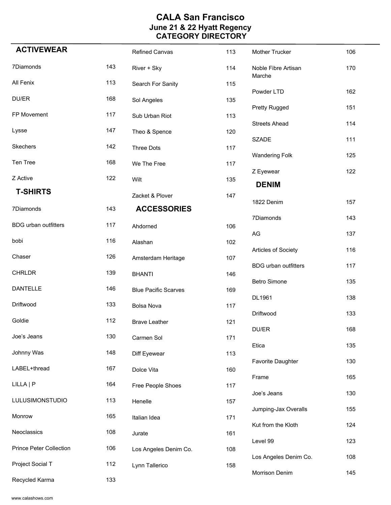| <b>ACTIVEWEAR</b>              |     | <b>Refined Canvas</b>       | 113 | Mother Trucker                | 106 |
|--------------------------------|-----|-----------------------------|-----|-------------------------------|-----|
| 7Diamonds                      | 143 | River + Sky                 | 114 | Noble Fibre Artisan<br>Marche | 170 |
| All Fenix                      | 113 | Search For Sanity           | 115 | Powder LTD                    | 162 |
| DU/ER                          | 168 | Sol Angeles                 | 135 |                               |     |
| FP Movement                    | 117 | Sub Urban Riot              | 113 | <b>Pretty Rugged</b>          | 151 |
| Lysse                          | 147 | Theo & Spence               | 120 | <b>Streets Ahead</b>          | 114 |
| Skechers                       | 142 | <b>Three Dots</b>           | 117 | <b>SZADE</b>                  | 111 |
| Ten Tree                       | 168 | We The Free                 | 117 | <b>Wandering Folk</b>         | 125 |
| Z Active                       | 122 | Wilt                        | 135 | Z Eyewear                     | 122 |
| <b>T-SHIRTS</b>                |     | Zacket & Plover             | 147 | <b>DENIM</b>                  |     |
| 7Diamonds                      | 143 | <b>ACCESSORIES</b>          |     | 1822 Denim                    | 157 |
| <b>BDG</b> urban outfitters    | 117 |                             |     | 7Diamonds                     | 143 |
|                                |     | Ahdorned                    | 106 | AG                            | 137 |
| bobi                           | 116 | Alashan                     | 102 | Articles of Society           | 116 |
| Chaser                         | 126 | Amsterdam Heritage          | 107 |                               |     |
| <b>CHRLDR</b>                  | 139 | <b>BHANTI</b>               | 146 | <b>BDG</b> urban outfitters   | 117 |
| <b>DANTELLE</b>                | 146 | <b>Blue Pacific Scarves</b> | 169 | <b>Betro Simone</b>           | 135 |
| Driftwood                      | 133 | <b>Bolsa Nova</b>           | 117 | DL1961                        | 138 |
| Goldie                         | 112 | <b>Brave Leather</b>        | 121 | Driftwood                     | 133 |
| Joe's Jeans                    | 130 | Carmen Sol                  | 171 | DU/ER                         | 168 |
| Johnny Was                     | 148 | Diff Eyewear                | 113 | Etica                         | 135 |
|                                |     |                             |     | <b>Favorite Daughter</b>      | 130 |
| LABEL+thread                   | 167 | Dolce Vita                  | 160 | Frame                         | 165 |
| LILLA   P                      | 164 | Free People Shoes           | 117 | Joe's Jeans                   | 130 |
| <b>LULUSIMONSTUDIO</b>         | 113 | Henelle                     | 157 |                               |     |
| Monrow                         | 165 | Italian Idea                | 171 | Jumping-Jax Overalls          | 155 |
| Neoclassics                    | 108 | Jurate                      | 161 | Kut from the Kloth            | 124 |
| <b>Prince Peter Collection</b> | 106 | Los Angeles Denim Co.       | 108 | Level 99                      | 123 |
| Project Social T               | 112 | Lynn Tallerico              | 158 | Los Angeles Denim Co.         | 108 |
| Recycled Karma                 | 133 |                             |     | Morrison Denim                | 145 |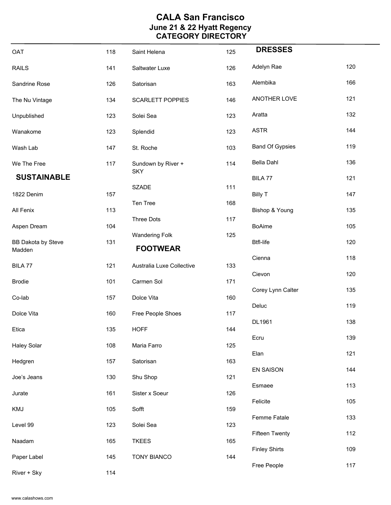| OAT                                 | 118 | Saint Helena                             | 125 | <b>DRESSES</b>         |     |
|-------------------------------------|-----|------------------------------------------|-----|------------------------|-----|
| <b>RAILS</b>                        | 141 | Saltwater Luxe                           | 126 | Adelyn Rae             | 120 |
| Sandrine Rose                       | 126 | Satorisan                                | 163 | Alembika               | 166 |
| The Nu Vintage                      | 134 | <b>SCARLETT POPPIES</b>                  | 146 | ANOTHER LOVE           | 121 |
| Unpublished                         | 123 | Solei Sea                                | 123 | Aratta                 | 132 |
| Wanakome                            | 123 | Splendid                                 | 123 | <b>ASTR</b>            | 144 |
| Wash Lab                            | 147 | St. Roche                                | 103 | <b>Band Of Gypsies</b> | 119 |
| We The Free                         | 117 | Sundown by River +                       | 114 | Bella Dahl             | 136 |
| <b>SUSTAINABLE</b>                  |     | <b>SKY</b>                               |     | BILA 77                | 121 |
| 1822 Denim                          | 157 | <b>SZADE</b>                             | 111 | <b>Billy T</b>         | 147 |
| All Fenix                           | 113 | Ten Tree                                 | 168 | Bishop & Young         | 135 |
| Aspen Dream                         | 104 | <b>Three Dots</b>                        | 117 | <b>BoAime</b>          | 105 |
| <b>BB Dakota by Steve</b><br>Madden | 131 | <b>Wandering Folk</b><br><b>FOOTWEAR</b> | 125 | <b>Btfl-life</b>       | 120 |
| BILA 77                             | 121 | Australia Luxe Collective                | 133 | Cienna                 | 118 |
|                                     |     |                                          |     | Cievon                 | 120 |
| <b>Brodie</b>                       | 101 | Carmen Sol                               | 171 | Corey Lynn Calter      | 135 |
| Co-lab                              | 157 | Dolce Vita                               | 160 | Deluc                  | 119 |
| Dolce Vita                          | 160 | Free People Shoes                        | 117 | DL1961                 | 138 |
| Etica                               | 135 | <b>HOFF</b>                              | 144 | Ecru                   | 139 |
| <b>Haley Solar</b>                  | 108 | Maria Farro                              | 125 | Elan                   | 121 |
| Hedgren                             | 157 | Satorisan                                | 163 | EN SAISON              | 144 |
| Joe's Jeans                         | 130 | Shu Shop                                 | 121 | Esmaee                 | 113 |
| Jurate                              | 161 | Sister x Soeur                           | 126 | Felicite               | 105 |
| KMJ                                 | 105 | Sofft                                    | 159 | Femme Fatale           | 133 |
| Level 99                            | 123 | Solei Sea                                | 123 | <b>Fifteen Twenty</b>  | 112 |
| Naadam                              | 165 | <b>TKEES</b>                             | 165 | <b>Finley Shirts</b>   | 109 |
| Paper Label                         | 145 | <b>TONY BIANCO</b>                       | 144 | Free People            | 117 |
| River + Sky                         | 114 |                                          |     |                        |     |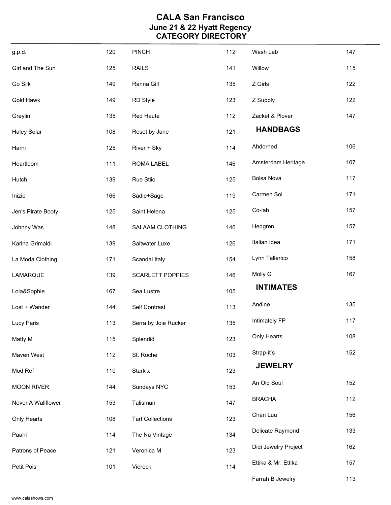| g.p.d.             | 120 | <b>PINCH</b>            | 112 | Wash Lab             | 147 |
|--------------------|-----|-------------------------|-----|----------------------|-----|
| Girl and The Sun   | 125 | <b>RAILS</b>            | 141 | Willow               | 115 |
| Go Silk            | 149 | Ranna Gill              | 135 | Z Girls              | 122 |
| Gold Hawk          | 149 | <b>RD Style</b>         | 123 | Z Supply             | 122 |
| Greylin            | 135 | Red Haute               | 112 | Zacket & Plover      | 147 |
| <b>Haley Solar</b> | 108 | Reset by Jane           | 121 | <b>HANDBAGS</b>      |     |
| Harni              | 125 | River + Sky             | 114 | Ahdorned             | 106 |
| Heartloom          | 111 | ROMA LABEL              | 146 | Amsterdam Heritage   | 107 |
| Hutch              | 139 | <b>Rue Stiic</b>        | 125 | <b>Bolsa Nova</b>    | 117 |
| Inizio             | 166 | Sadie+Sage              | 119 | Carmen Sol           | 171 |
| Jen's Pirate Booty | 125 | Saint Helena            | 125 | Co-lab               | 157 |
| Johnny Was         | 148 | SALAAM CLOTHING         | 146 | Hedgren              | 157 |
| Karina Grimaldi    | 139 | Saltwater Luxe          | 126 | Italian Idea         | 171 |
| La Moda Clothing   | 171 | Scandal Italy           | 154 | Lynn Tallerico       | 158 |
| LAMARQUE           | 139 | <b>SCARLETT POPPIES</b> | 146 | Molly G              | 167 |
| Lola&Sophie        | 167 | Sea Lustre              | 105 | <b>INTIMATES</b>     |     |
| Lost + Wander      | 144 | Self Contrast           | 113 | Andine               | 135 |
| Lucy Paris         | 113 | Serra by Joie Rucker    | 135 | Intimately FP        | 117 |
| Matty M            | 115 | Splendid                | 123 | Only Hearts          | 108 |
| Maven West         | 112 | St. Roche               | 103 | Strap-it's           | 152 |
| Mod Ref            | 110 | Stark x                 | 123 | <b>JEWELRY</b>       |     |
| <b>MOON RIVER</b>  | 144 | Sundays NYC             | 153 | An Old Soul          | 152 |
| Never A Wallflower | 153 | Talisman                | 147 | <b>BRACHA</b>        | 112 |
| Only Hearts        | 108 | <b>Tart Collections</b> | 123 | Chan Luu             | 156 |
| Paani              | 114 | The Nu Vintage          | 134 | Delicate Raymond     | 133 |
| Patrons of Peace   | 121 | Veronica M              | 123 | Didi Jewelry Project | 162 |
| Petit Pois         | 101 | Viereck                 | 114 | Ettika & Mr. Ettika  | 157 |
|                    |     |                         |     | Farrah B Jewelry     | 113 |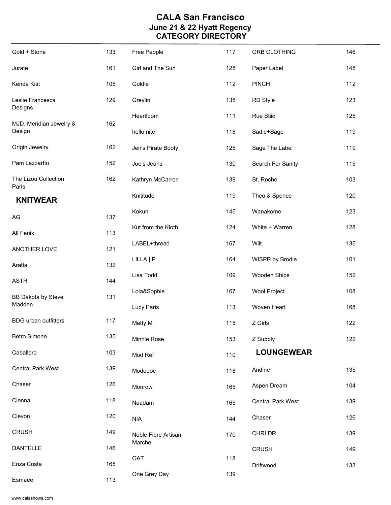| Gold + Stone                  | 133 | Free People         | 117 | ORB CLOTHING             | 146 |
|-------------------------------|-----|---------------------|-----|--------------------------|-----|
| Jurate                        | 161 | Girl and The Sun    | 125 | Paper Label              | 145 |
| Kenda Kist                    | 105 | Goldie              | 112 | <b>PINCH</b>             | 112 |
| Leslie Francesca<br>Designs   | 129 | Greylin             | 135 | RD Style                 | 123 |
| MJD, Meridian Jewelry &       | 162 | Heartloom           | 111 | Rue Stiic                | 125 |
| Design                        |     | hello nite          | 118 | Sadie+Sage               | 119 |
| Origin Jewelry                | 162 | Jen's Pirate Booty  | 125 | Sage The Label           | 119 |
| Pam Lazzartto                 | 152 | Joe's Jeans         | 130 | Search For Sanity        | 115 |
| The Lizou Collection<br>Paris | 162 | Kathryn McCarron    | 139 | St. Roche                | 103 |
| <b>KNITWEAR</b>               |     | Knititude           | 119 | Theo & Spence            | 120 |
| AG                            | 137 | Kokun               | 145 | Wanakome                 | 123 |
| All Fenix                     | 113 | Kut from the Kloth  | 124 | White + Warren           | 128 |
| ANOTHER LOVE                  | 121 | LABEL+thread        | 167 | Wilt                     | 135 |
| Aratta                        | 132 | LILLA   P           | 164 | WISPR by Brodie          | 101 |
| <b>ASTR</b>                   | 144 | Lisa Todd           | 109 | Wooden Ships             | 152 |
| <b>BB Dakota by Steve</b>     | 131 | Lola&Sophie         | 167 | Wool Project             | 108 |
| Madden                        |     | <b>Lucy Paris</b>   | 113 | Woven Heart              | 168 |
| <b>BDG</b> urban outfitters   | 117 | Matty M             | 115 | Z Girls                  | 122 |
| <b>Betro Simone</b>           | 135 | Minnie Rose         | 153 | Z Supply                 | 122 |
| Caballero                     | 103 | Mod Ref             | 110 | <b>LOUNGEWEAR</b>        |     |
| <b>Central Park West</b>      | 139 | Mododoc             | 118 | Andine                   | 135 |
| Chaser                        | 126 | Monrow              | 165 | Aspen Dream              | 104 |
| Cienna                        | 118 | Naadam              | 165 | <b>Central Park West</b> | 139 |
| Cievon                        | 120 | <b>NIA</b>          | 144 | Chaser                   | 126 |
| <b>CRUSH</b>                  | 149 | Noble Fibre Artisan | 170 | <b>CHRLDR</b>            | 139 |
| <b>DANTELLE</b>               | 146 | Marche              |     | <b>CRUSH</b>             | 149 |
| Enza Costa                    | 165 | OAT                 | 118 | Driftwood                | 133 |
| Esmaee                        | 113 | One Grey Day        | 139 |                          |     |

www.calashows.com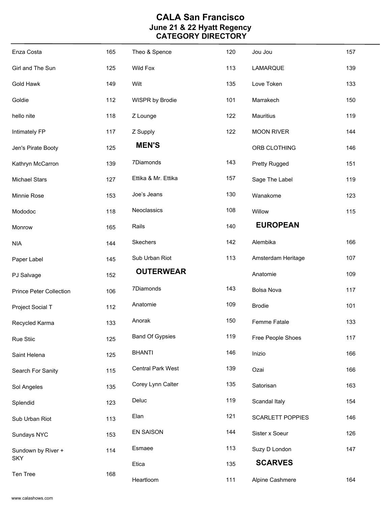| Enza Costa                     | 165 | Theo & Spence            | 120 | Jou Jou                 | 157 |
|--------------------------------|-----|--------------------------|-----|-------------------------|-----|
| Girl and The Sun               | 125 | <b>Wild Fox</b>          | 113 | LAMARQUE                | 139 |
| Gold Hawk                      | 149 | Wilt                     | 135 | Love Token              | 133 |
| Goldie                         | 112 | WISPR by Brodie          | 101 | Marrakech               | 150 |
| hello nite                     | 118 | Z Lounge                 | 122 | Mauritius               | 119 |
| Intimately FP                  | 117 | Z Supply                 | 122 | <b>MOON RIVER</b>       | 144 |
| Jen's Pirate Booty             | 125 | <b>MEN'S</b>             |     | ORB CLOTHING            | 146 |
| Kathryn McCarron               | 139 | 7Diamonds                | 143 | Pretty Rugged           | 151 |
| <b>Michael Stars</b>           | 127 | Ettika & Mr. Ettika      | 157 | Sage The Label          | 119 |
| Minnie Rose                    | 153 | Joe's Jeans              | 130 | Wanakome                | 123 |
| Mododoc                        | 118 | Neoclassics              | 108 | Willow                  | 115 |
| Monrow                         | 165 | Rails                    | 140 | <b>EUROPEAN</b>         |     |
| <b>NIA</b>                     | 144 | Skechers                 | 142 | Alembika                | 166 |
| Paper Label                    | 145 | Sub Urban Riot           | 113 | Amsterdam Heritage      | 107 |
|                                |     |                          |     |                         |     |
| PJ Salvage                     | 152 | <b>OUTERWEAR</b>         |     | Anatomie                | 109 |
| <b>Prince Peter Collection</b> | 106 | 7Diamonds                | 143 | <b>Bolsa Nova</b>       | 117 |
| Project Social T               | 112 | Anatomie                 | 109 | <b>Brodie</b>           | 101 |
| Recycled Karma                 | 133 | Anorak                   | 150 | Femme Fatale            | 133 |
| <b>Rue Stiic</b>               | 125 | <b>Band Of Gypsies</b>   | 119 | Free People Shoes       | 117 |
| Saint Helena                   | 125 | <b>BHANTI</b>            | 146 | Inizio                  | 166 |
| Search For Sanity              | 115 | <b>Central Park West</b> | 139 | Ozai                    | 166 |
| Sol Angeles                    | 135 | Corey Lynn Calter        | 135 | Satorisan               | 163 |
| Splendid                       | 123 | Deluc                    | 119 | Scandal Italy           | 154 |
| Sub Urban Riot                 | 113 | Elan                     | 121 | <b>SCARLETT POPPIES</b> | 146 |
| Sundays NYC                    | 153 | <b>EN SAISON</b>         | 144 | Sister x Soeur          | 126 |
| Sundown by River +             | 114 | Esmaee                   | 113 | Suzy D London           | 147 |
| <b>SKY</b><br>Ten Tree         | 168 | Etica                    | 135 | <b>SCARVES</b>          |     |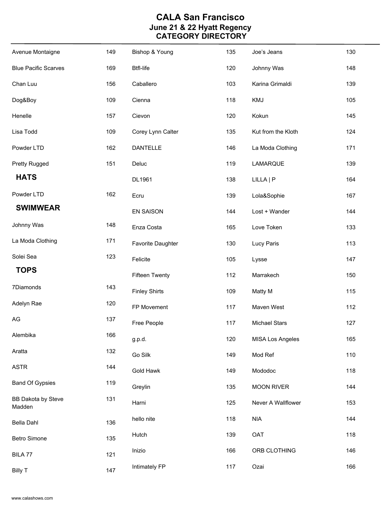| Avenue Montaigne                    | 149 | Bishop & Young        | 135 | Joe's Jeans             | 130 |
|-------------------------------------|-----|-----------------------|-----|-------------------------|-----|
| <b>Blue Pacific Scarves</b>         | 169 | <b>Btfl-life</b>      | 120 | Johnny Was              | 148 |
| Chan Luu                            | 156 | Caballero             | 103 | Karina Grimaldi         | 139 |
| Dog&Boy                             | 109 | Cienna                | 118 | KMJ                     | 105 |
| Henelle                             | 157 | Cievon                | 120 | Kokun                   | 145 |
| Lisa Todd                           | 109 | Corey Lynn Calter     | 135 | Kut from the Kloth      | 124 |
| Powder LTD                          | 162 | DANTELLE              | 146 | La Moda Clothing        | 171 |
| <b>Pretty Rugged</b>                | 151 | Deluc                 | 119 | LAMARQUE                | 139 |
| <b>HATS</b>                         |     | DL1961                | 138 | LILLA   P               | 164 |
| Powder LTD                          | 162 | Ecru                  | 139 | Lola&Sophie             | 167 |
| <b>SWIMWEAR</b>                     |     | <b>EN SAISON</b>      | 144 | Lost + Wander           | 144 |
| Johnny Was                          | 148 | Enza Costa            | 165 | Love Token              | 133 |
| La Moda Clothing                    | 171 | Favorite Daughter     | 130 | Lucy Paris              | 113 |
| Solei Sea                           | 123 | Felicite              | 105 | Lysse                   | 147 |
| <b>TOPS</b>                         |     | <b>Fifteen Twenty</b> | 112 | Marrakech               | 150 |
| 7Diamonds                           | 143 | <b>Finley Shirts</b>  | 109 | Matty M                 | 115 |
| Adelyn Rae                          | 120 | FP Movement           | 117 | Maven West              | 112 |
| AG                                  | 137 | Free People           | 117 | <b>Michael Stars</b>    | 127 |
| Alembika                            | 166 | g.p.d.                | 120 | <b>MISA Los Angeles</b> | 165 |
| Aratta                              | 132 | Go Silk               | 149 | Mod Ref                 | 110 |
| <b>ASTR</b>                         | 144 | <b>Gold Hawk</b>      | 149 | Mododoc                 | 118 |
| <b>Band Of Gypsies</b>              | 119 | Greylin               | 135 | <b>MOON RIVER</b>       | 144 |
| <b>BB Dakota by Steve</b><br>Madden | 131 | Harni                 | 125 | Never A Wallflower      | 153 |
| <b>Bella Dahl</b>                   | 136 | hello nite            | 118 | <b>NIA</b>              | 144 |
| <b>Betro Simone</b>                 | 135 | Hutch                 | 139 | OAT                     | 118 |
| BILA 77                             | 121 | Inizio                | 166 | ORB CLOTHING            | 146 |
| <b>Billy T</b>                      | 147 | Intimately FP         | 117 | Ozai                    | 166 |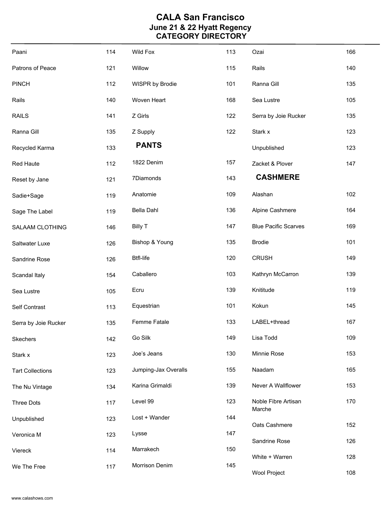| Paani                   | 114 | Wild Fox             | 113 | Ozai                          | 166 |
|-------------------------|-----|----------------------|-----|-------------------------------|-----|
| Patrons of Peace        | 121 | Willow               | 115 | Rails                         | 140 |
| <b>PINCH</b>            | 112 | WISPR by Brodie      | 101 | Ranna Gill                    | 135 |
| Rails                   | 140 | Woven Heart          | 168 | Sea Lustre                    | 105 |
| <b>RAILS</b>            | 141 | Z Girls              | 122 | Serra by Joie Rucker          | 135 |
| Ranna Gill              | 135 | Z Supply             | 122 | Stark x                       | 123 |
| Recycled Karma          | 133 | <b>PANTS</b>         |     | Unpublished                   | 123 |
| <b>Red Haute</b>        | 112 | 1822 Denim           | 157 | Zacket & Plover               | 147 |
| Reset by Jane           | 121 | 7Diamonds            | 143 | <b>CASHMERE</b>               |     |
| Sadie+Sage              | 119 | Anatomie             | 109 | Alashan                       | 102 |
| Sage The Label          | 119 | Bella Dahl           | 136 | Alpine Cashmere               | 164 |
| SALAAM CLOTHING         | 146 | <b>Billy T</b>       | 147 | <b>Blue Pacific Scarves</b>   | 169 |
| Saltwater Luxe          | 126 | Bishop & Young       | 135 | <b>Brodie</b>                 | 101 |
| Sandrine Rose           | 126 | <b>Btfl-life</b>     | 120 | <b>CRUSH</b>                  | 149 |
| Scandal Italy           | 154 | Caballero            | 103 | Kathryn McCarron              | 139 |
| Sea Lustre              | 105 | Ecru                 | 139 | Knititude                     | 119 |
| Self Contrast           | 113 | Equestrian           | 101 | Kokun                         | 145 |
| Serra by Joie Rucker    | 135 | Femme Fatale         | 133 | LABEL+thread                  | 167 |
| Skechers                | 142 | Go Silk              | 149 | Lisa Todd                     | 109 |
| Stark x                 | 123 | Joe's Jeans          | 130 | Minnie Rose                   | 153 |
| <b>Tart Collections</b> | 123 | Jumping-Jax Overalls | 155 | Naadam                        | 165 |
| The Nu Vintage          | 134 | Karina Grimaldi      | 139 | Never A Wallflower            | 153 |
| <b>Three Dots</b>       | 117 | Level 99             | 123 | Noble Fibre Artisan<br>Marche | 170 |
| Unpublished             | 123 | Lost + Wander        | 144 | Oats Cashmere                 | 152 |
| Veronica M              | 123 | Lysse                | 147 | Sandrine Rose                 | 126 |
| Viereck                 | 114 | Marrakech            | 150 | White + Warren                | 128 |
| We The Free             | 117 | Morrison Denim       | 145 | Wool Project                  | 108 |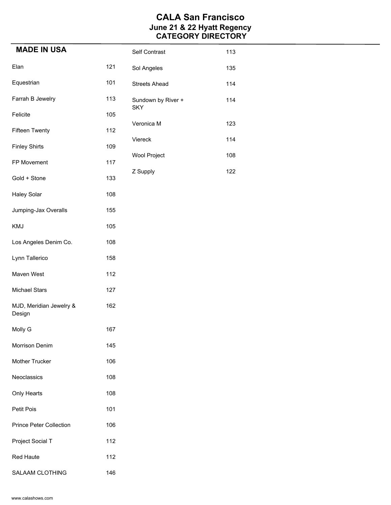| <b>MADE IN USA</b>                |     | Self Contrast                    | 113 |
|-----------------------------------|-----|----------------------------------|-----|
| Elan                              | 121 | Sol Angeles                      | 135 |
| Equestrian                        | 101 | <b>Streets Ahead</b>             | 114 |
| Farrah B Jewelry                  | 113 | Sundown by River +<br><b>SKY</b> | 114 |
| Felicite                          | 105 | Veronica M                       | 123 |
| <b>Fifteen Twenty</b>             | 112 |                                  |     |
| <b>Finley Shirts</b>              | 109 | Viereck                          | 114 |
| FP Movement                       | 117 | <b>Wool Project</b>              | 108 |
| Gold + Stone                      | 133 | Z Supply                         | 122 |
| <b>Haley Solar</b>                | 108 |                                  |     |
| Jumping-Jax Overalls              | 155 |                                  |     |
| <b>KMJ</b>                        | 105 |                                  |     |
| Los Angeles Denim Co.             | 108 |                                  |     |
| Lynn Tallerico                    | 158 |                                  |     |
| Maven West                        | 112 |                                  |     |
| <b>Michael Stars</b>              | 127 |                                  |     |
| MJD, Meridian Jewelry &<br>Design | 162 |                                  |     |
| Molly G                           | 167 |                                  |     |
| Morrison Denim                    | 145 |                                  |     |
| Mother Trucker                    | 106 |                                  |     |
| Neoclassics                       | 108 |                                  |     |
| Only Hearts                       | 108 |                                  |     |
| Petit Pois                        | 101 |                                  |     |
| <b>Prince Peter Collection</b>    | 106 |                                  |     |
| Project Social T                  | 112 |                                  |     |
| <b>Red Haute</b>                  | 112 |                                  |     |
| SALAAM CLOTHING                   | 146 |                                  |     |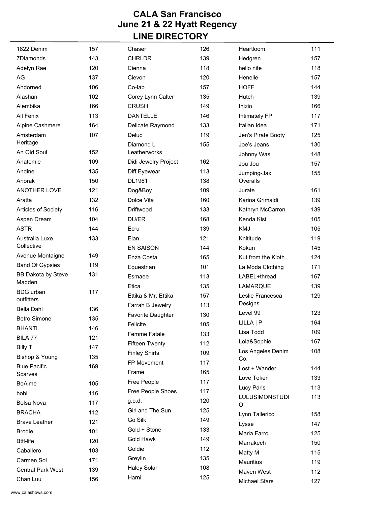| 1822 Denim                          | 157 | Chaser                   | 126 | Heartloom                | 111 |
|-------------------------------------|-----|--------------------------|-----|--------------------------|-----|
| 7Diamonds                           | 143 | <b>CHRLDR</b>            | 139 | Hedgren                  | 157 |
| Adelyn Rae                          | 120 | Cienna                   | 118 | hello nite               | 118 |
| AG                                  | 137 | Cievon                   | 120 | Henelle                  | 157 |
| Ahdorned                            | 106 | Co-lab                   | 157 | <b>HOFF</b>              | 144 |
| Alashan                             | 102 | Corey Lynn Calter        | 135 | Hutch                    | 139 |
| Alembika                            | 166 | <b>CRUSH</b>             | 149 | Inizio                   | 166 |
| All Fenix                           | 113 | <b>DANTELLE</b>          | 146 | Intimately FP            | 117 |
| Alpine Cashmere                     | 164 | Delicate Raymond         | 133 | Italian Idea             | 171 |
| Amsterdam                           | 107 | Deluc                    | 119 | Jen's Pirate Booty       | 125 |
| Heritage                            |     | Diamond L                | 155 | Joe's Jeans              | 130 |
| An Old Soul                         | 152 | Leatherworks             |     | Johnny Was               | 148 |
| Anatomie                            | 109 | Didi Jewelry Project     | 162 | Jou Jou                  | 157 |
| Andine                              | 135 | Diff Eyewear             | 113 | Jumping-Jax              | 155 |
| Anorak                              | 150 | DL1961                   | 138 | Overalls                 |     |
| <b>ANOTHER LOVE</b>                 | 121 | Dog&Boy                  | 109 | Jurate                   | 161 |
| Aratta                              | 132 | Dolce Vita               | 160 | Karina Grimaldi          | 139 |
| Articles of Society                 | 116 | Driftwood                | 133 | Kathryn McCarron         | 139 |
| Aspen Dream                         | 104 | DU/ER                    | 168 | Kenda Kist               | 105 |
| <b>ASTR</b>                         | 144 | Ecru                     | 139 | KMJ                      | 105 |
| Australia Luxe                      | 133 | Elan                     | 121 | Knititude                | 119 |
| Collective                          |     | <b>EN SAISON</b>         | 144 | Kokun                    | 145 |
| Avenue Montaigne                    | 149 | Enza Costa               | 165 | Kut from the Kloth       | 124 |
| <b>Band Of Gypsies</b>              | 119 | Equestrian               | 101 | La Moda Clothing         | 171 |
| <b>BB Dakota by Steve</b><br>Madden | 131 | Esmaee                   | 113 | LABEL+thread             | 167 |
| <b>BDG</b> urban                    | 117 | Etica                    | 135 | <b>LAMARQUE</b>          | 139 |
| outfitters                          |     | Ettika & Mr. Ettika      | 157 | Leslie Francesca         | 129 |
| <b>Bella Dahl</b>                   | 136 | Farrah B Jewelry         | 113 | Designs                  |     |
| <b>Betro Simone</b>                 | 135 | <b>Favorite Daughter</b> | 130 | Level 99                 | 123 |
| <b>BHANTI</b>                       | 146 | Felicite                 | 105 | LILLA   P                | 164 |
| BILA <sub>77</sub>                  | 121 | Femme Fatale             | 133 | Lisa Todd                | 109 |
| <b>Billy T</b>                      | 147 | <b>Fifteen Twenty</b>    | 112 | Lola&Sophie              | 167 |
| Bishop & Young                      | 135 | <b>Finley Shirts</b>     | 109 | Los Angeles Denim<br>Co. | 108 |
| <b>Blue Pacific</b>                 | 169 | FP Movement              | 117 | Lost + Wander            | 144 |
| Scarves                             |     | Frame                    | 165 | Love Token               | 133 |
| <b>BoAime</b>                       | 105 | Free People              | 117 | Lucy Paris               | 113 |
| bobi                                | 116 | Free People Shoes        | 117 | <b>LULUSIMONSTUDI</b>    | 113 |
| <b>Bolsa Nova</b>                   | 117 | g.p.d.                   | 120 | O                        |     |
| <b>BRACHA</b>                       | 112 | Girl and The Sun         | 125 | Lynn Tallerico           | 158 |
| <b>Brave Leather</b>                | 121 | Go Silk                  | 149 | Lysse                    | 147 |
| <b>Brodie</b>                       | 101 | Gold + Stone             | 133 | Maria Farro              | 125 |
| <b>Btfl-life</b>                    | 120 | Gold Hawk                | 149 | Marrakech                | 150 |
| Caballero                           | 103 | Goldie                   | 112 | Matty M                  | 115 |
| Carmen Sol                          | 171 | Greylin                  | 135 | <b>Mauritius</b>         | 119 |
| <b>Central Park West</b>            | 139 | <b>Haley Solar</b>       | 108 | Maven West               | 112 |
| Chan Luu                            | 156 | Harni                    | 125 | <b>Michael Stars</b>     | 127 |
|                                     |     |                          |     |                          |     |